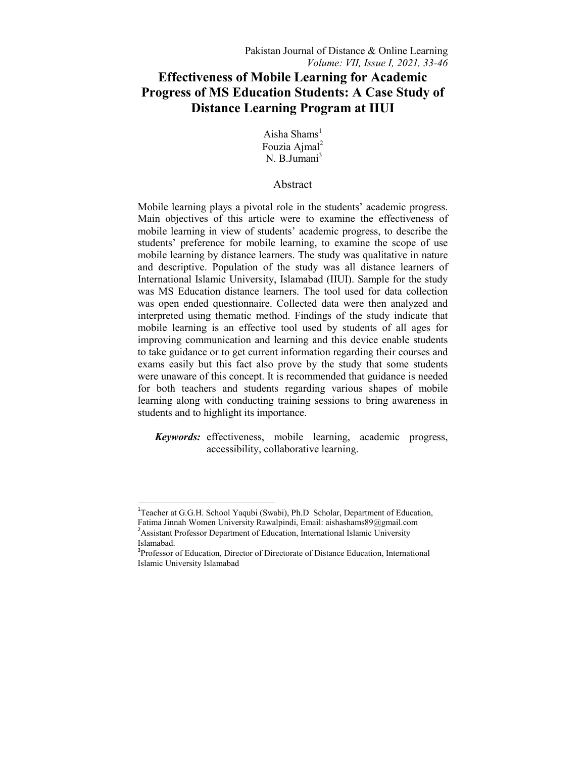# **Effectiveness of Mobile Learning for Academic Progress of MS Education Students: A Case Study of Distance Learning Program at IIUI**

Aisha Shams $<sup>1</sup>$ </sup> Fouzia Aimal<sup>2</sup> N. B.Jumani<sup>3</sup>

## Abstract

Mobile learning plays a pivotal role in the students' academic progress. Main objectives of this article were to examine the effectiveness of mobile learning in view of students' academic progress, to describe the students' preference for mobile learning, to examine the scope of use mobile learning by distance learners. The study was qualitative in nature and descriptive. Population of the study was all distance learners of International Islamic University, Islamabad (IIUI). Sample for the study was MS Education distance learners. The tool used for data collection was open ended questionnaire. Collected data were then analyzed and interpreted using thematic method. Findings of the study indicate that mobile learning is an effective tool used by students of all ages for improving communication and learning and this device enable students to take guidance or to get current information regarding their courses and exams easily but this fact also prove by the study that some students were unaware of this concept. It is recommended that guidance is needed for both teachers and students regarding various shapes of mobile learning along with conducting training sessions to bring awareness in students and to highlight its importance.

*Keywords:* effectiveness, mobile learning, academic progress, accessibility, collaborative learning.

 $\overline{a}$ 

<sup>&</sup>lt;sup>1</sup>Teacher at G.G.H. School Yaqubi (Swabi), Ph.D Scholar, Department of Education, Fatima Jinnah Women University Rawalpindi, Email: aishashams89@gmail.com <sup>2</sup> Assistant Professor Department of Education, International Islamic University Islamabad.

<sup>&</sup>lt;sup>3</sup>Professor of Education, Director of Directorate of Distance Education, International Islamic University Islamabad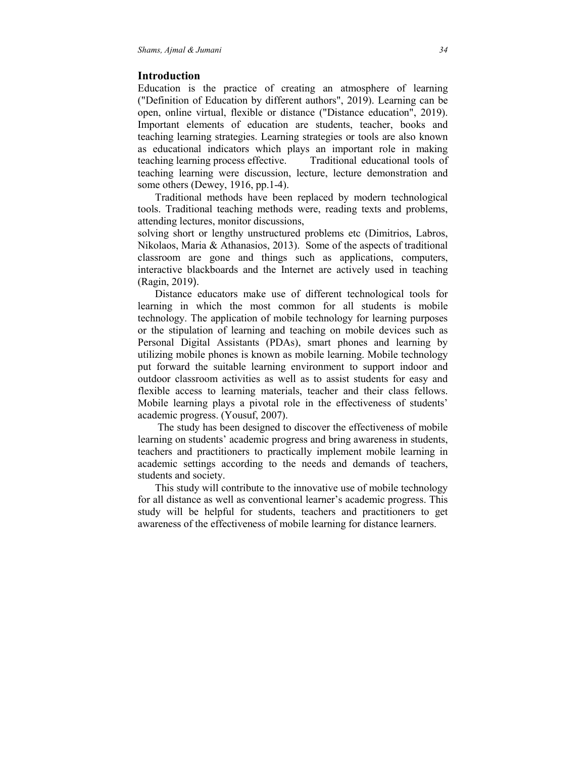## **Introduction**

Education is the practice of creating an atmosphere of learning ("Definition of Education by different authors", 2019). Learning can be open, online virtual, flexible or distance ("Distance education", 2019). Important elements of education are students, teacher, books and teaching learning strategies. Learning strategies or tools are also known as educational indicators which plays an important role in making teaching learning process effective. Traditional educational tools of teaching learning were discussion, lecture, lecture demonstration and some others (Dewey, 1916, pp.1-4).

 Traditional methods have been replaced by modern technological tools. Traditional teaching methods were, reading texts and problems, attending lectures, monitor discussions,

solving short or lengthy unstructured problems etc (Dimitrios, Labros, Nikolaos, Maria & Athanasios, 2013). Some of the aspects of traditional classroom are gone and things such as applications, computers, interactive blackboards and the Internet are actively used in teaching (Ragin, 2019).

 Distance educators make use of different technological tools for learning in which the most common for all students is mobile technology. The application of mobile technology for learning purposes or the stipulation of learning and teaching on mobile devices such as Personal Digital Assistants (PDAs), smart phones and learning by utilizing mobile phones is known as mobile learning. Mobile technology put forward the suitable learning environment to support indoor and outdoor classroom activities as well as to assist students for easy and flexible access to learning materials, teacher and their class fellows. Mobile learning plays a pivotal role in the effectiveness of students' academic progress. (Yousuf, 2007).

 The study has been designed to discover the effectiveness of mobile learning on students' academic progress and bring awareness in students, teachers and practitioners to practically implement mobile learning in academic settings according to the needs and demands of teachers, students and society.

 This study will contribute to the innovative use of mobile technology for all distance as well as conventional learner's academic progress. This study will be helpful for students, teachers and practitioners to get awareness of the effectiveness of mobile learning for distance learners.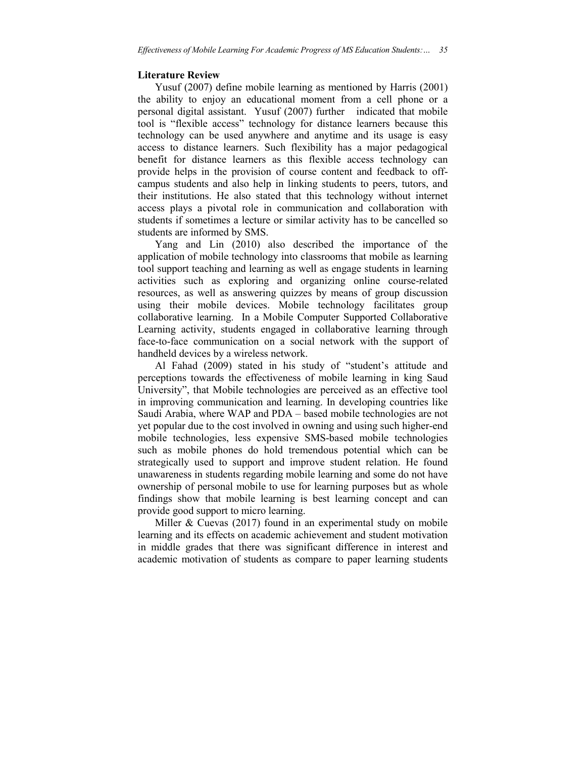## **Literature Review**

 Yusuf (2007) define mobile learning as mentioned by Harris (2001) the ability to enjoy an educational moment from a cell phone or a personal digital assistant. Yusuf (2007) further indicated that mobile tool is "flexible access" technology for distance learners because this technology can be used anywhere and anytime and its usage is easy access to distance learners. Such flexibility has a major pedagogical benefit for distance learners as this flexible access technology can provide helps in the provision of course content and feedback to offcampus students and also help in linking students to peers, tutors, and their institutions. He also stated that this technology without internet access plays a pivotal role in communication and collaboration with students if sometimes a lecture or similar activity has to be cancelled so students are informed by SMS.

 Yang and Lin (2010) also described the importance of the application of mobile technology into classrooms that mobile as learning tool support teaching and learning as well as engage students in learning activities such as exploring and organizing online course-related resources, as well as answering quizzes by means of group discussion using their mobile devices. Mobile technology facilitates group collaborative learning. In a Mobile Computer Supported Collaborative Learning activity, students engaged in collaborative learning through face-to-face communication on a social network with the support of handheld devices by a wireless network.

 Al Fahad (2009) stated in his study of "student's attitude and perceptions towards the effectiveness of mobile learning in king Saud University", that Mobile technologies are perceived as an effective tool in improving communication and learning. In developing countries like Saudi Arabia, where WAP and PDA – based mobile technologies are not yet popular due to the cost involved in owning and using such higher-end mobile technologies, less expensive SMS-based mobile technologies such as mobile phones do hold tremendous potential which can be strategically used to support and improve student relation. He found unawareness in students regarding mobile learning and some do not have ownership of personal mobile to use for learning purposes but as whole findings show that mobile learning is best learning concept and can provide good support to micro learning.

Miller & Cuevas (2017) found in an experimental study on mobile learning and its effects on academic achievement and student motivation in middle grades that there was significant difference in interest and academic motivation of students as compare to paper learning students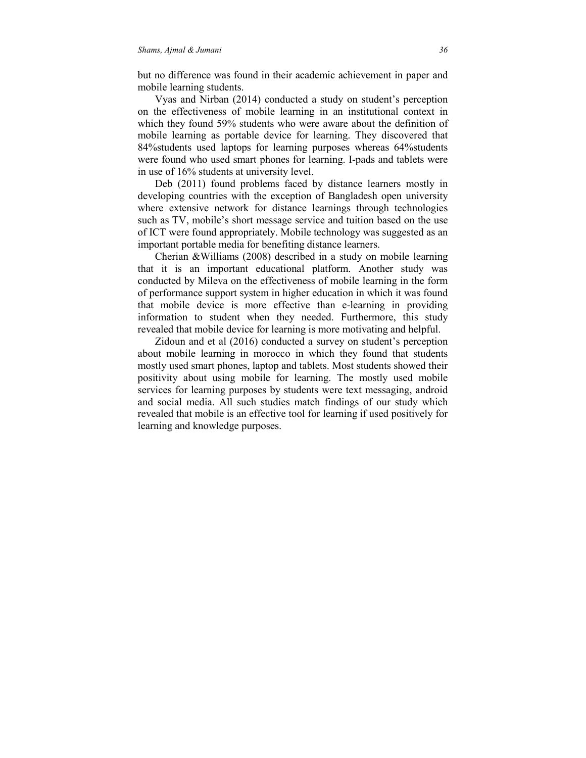but no difference was found in their academic achievement in paper and mobile learning students.

 Vyas and Nirban (2014) conducted a study on student's perception on the effectiveness of mobile learning in an institutional context in which they found 59% students who were aware about the definition of mobile learning as portable device for learning. They discovered that 84%students used laptops for learning purposes whereas 64%students were found who used smart phones for learning. I-pads and tablets were in use of 16% students at university level.

 Deb (2011) found problems faced by distance learners mostly in developing countries with the exception of Bangladesh open university where extensive network for distance learnings through technologies such as TV, mobile's short message service and tuition based on the use of ICT were found appropriately. Mobile technology was suggested as an important portable media for benefiting distance learners.

 Cherian &Williams (2008) described in a study on mobile learning that it is an important educational platform. Another study was conducted by Mileva on the effectiveness of mobile learning in the form of performance support system in higher education in which it was found that mobile device is more effective than e-learning in providing information to student when they needed. Furthermore, this study revealed that mobile device for learning is more motivating and helpful.

 Zidoun and et al (2016) conducted a survey on student's perception about mobile learning in morocco in which they found that students mostly used smart phones, laptop and tablets. Most students showed their positivity about using mobile for learning. The mostly used mobile services for learning purposes by students were text messaging, android and social media. All such studies match findings of our study which revealed that mobile is an effective tool for learning if used positively for learning and knowledge purposes.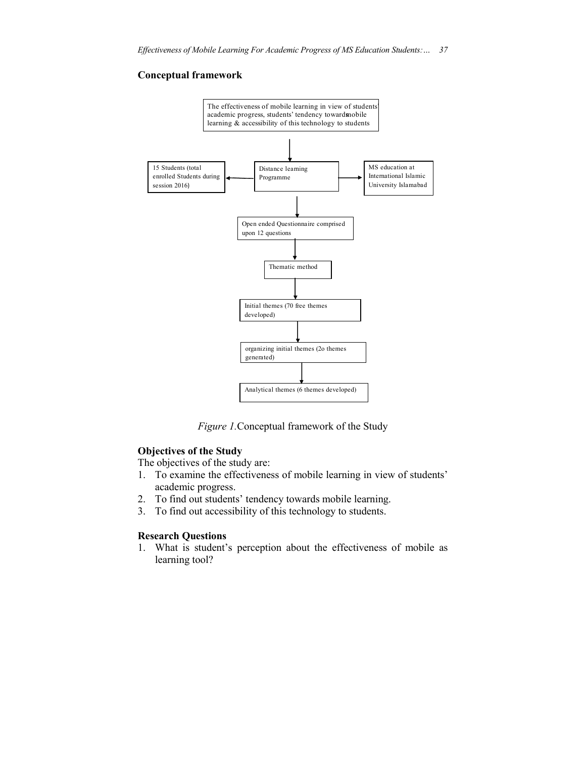## **Conceptual framework**



*Figure 1.*Conceptual framework of the Study

## **Objectives of the Study**

The objectives of the study are:

- 1. To examine the effectiveness of mobile learning in view of students' academic progress.
- 2. To find out students' tendency towards mobile learning.
- 3. To find out accessibility of this technology to students.

### **Research Questions**

1. What is student's perception about the effectiveness of mobile as learning tool?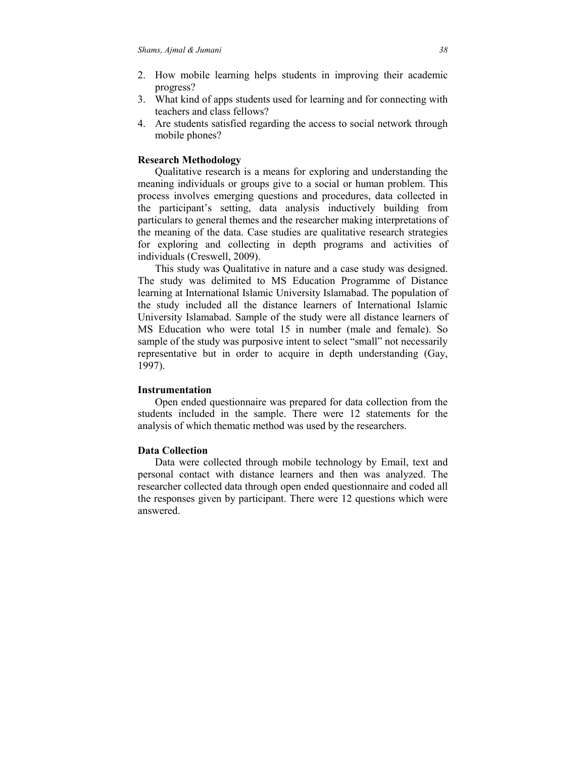- 2. How mobile learning helps students in improving their academic progress?
- 3. What kind of apps students used for learning and for connecting with teachers and class fellows?
- 4. Are students satisfied regarding the access to social network through mobile phones?

### **Research Methodology**

 Qualitative research is a means for exploring and understanding the meaning individuals or groups give to a social or human problem. This process involves emerging questions and procedures, data collected in the participant's setting, data analysis inductively building from particulars to general themes and the researcher making interpretations of the meaning of the data. Case studies are qualitative research strategies for exploring and collecting in depth programs and activities of individuals (Creswell, 2009).

 This study was Qualitative in nature and a case study was designed. The study was delimited to MS Education Programme of Distance learning at International Islamic University Islamabad. The population of the study included all the distance learners of International Islamic University Islamabad. Sample of the study were all distance learners of MS Education who were total 15 in number (male and female). So sample of the study was purposive intent to select "small" not necessarily representative but in order to acquire in depth understanding (Gay, 1997).

## **Instrumentation**

 Open ended questionnaire was prepared for data collection from the students included in the sample. There were 12 statements for the analysis of which thematic method was used by the researchers.

### **Data Collection**

 Data were collected through mobile technology by Email, text and personal contact with distance learners and then was analyzed. The researcher collected data through open ended questionnaire and coded all the responses given by participant. There were 12 questions which were answered.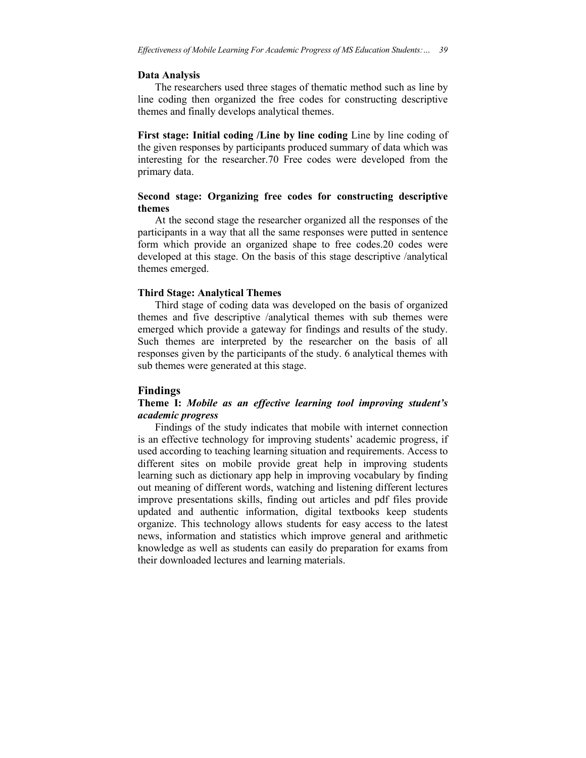#### **Data Analysis**

 The researchers used three stages of thematic method such as line by line coding then organized the free codes for constructing descriptive themes and finally develops analytical themes.

**First stage: Initial coding /Line by line coding** Line by line coding of the given responses by participants produced summary of data which was interesting for the researcher.70 Free codes were developed from the primary data.

## **Second stage: Organizing free codes for constructing descriptive themes**

 At the second stage the researcher organized all the responses of the participants in a way that all the same responses were putted in sentence form which provide an organized shape to free codes.20 codes were developed at this stage. On the basis of this stage descriptive /analytical themes emerged.

#### **Third Stage: Analytical Themes**

 Third stage of coding data was developed on the basis of organized themes and five descriptive /analytical themes with sub themes were emerged which provide a gateway for findings and results of the study. Such themes are interpreted by the researcher on the basis of all responses given by the participants of the study. 6 analytical themes with sub themes were generated at this stage.

## **Findings**

## **Theme I:** *Mobile as an effective learning tool improving student's academic progress*

 Findings of the study indicates that mobile with internet connection is an effective technology for improving students' academic progress, if used according to teaching learning situation and requirements. Access to different sites on mobile provide great help in improving students learning such as dictionary app help in improving vocabulary by finding out meaning of different words, watching and listening different lectures improve presentations skills, finding out articles and pdf files provide updated and authentic information, digital textbooks keep students organize. This technology allows students for easy access to the latest news, information and statistics which improve general and arithmetic knowledge as well as students can easily do preparation for exams from their downloaded lectures and learning materials.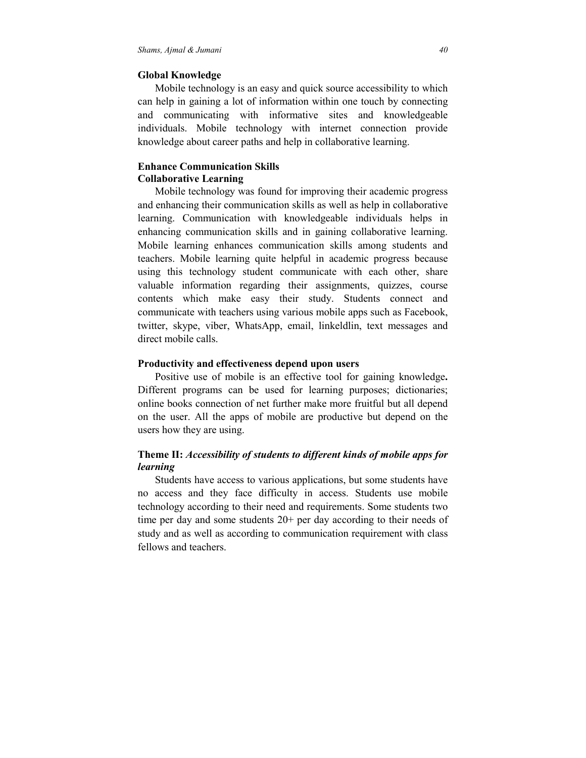## **Global Knowledge**

 Mobile technology is an easy and quick source accessibility to which can help in gaining a lot of information within one touch by connecting and communicating with informative sites and knowledgeable individuals. Mobile technology with internet connection provide knowledge about career paths and help in collaborative learning.

## **Enhance Communication Skills Collaborative Learning**

 Mobile technology was found for improving their academic progress and enhancing their communication skills as well as help in collaborative learning. Communication with knowledgeable individuals helps in enhancing communication skills and in gaining collaborative learning. Mobile learning enhances communication skills among students and teachers. Mobile learning quite helpful in academic progress because using this technology student communicate with each other, share valuable information regarding their assignments, quizzes, course contents which make easy their study. Students connect and communicate with teachers using various mobile apps such as Facebook, twitter, skype, viber, WhatsApp, email, linkeldlin, text messages and direct mobile calls.

## **Productivity and effectiveness depend upon users**

 Positive use of mobile is an effective tool for gaining knowledge**.** Different programs can be used for learning purposes; dictionaries; online books connection of net further make more fruitful but all depend on the user. All the apps of mobile are productive but depend on the users how they are using.

## **Theme II:** *Accessibility of students to different kinds of mobile apps for learning*

 Students have access to various applications, but some students have no access and they face difficulty in access. Students use mobile technology according to their need and requirements. Some students two time per day and some students 20+ per day according to their needs of study and as well as according to communication requirement with class fellows and teachers.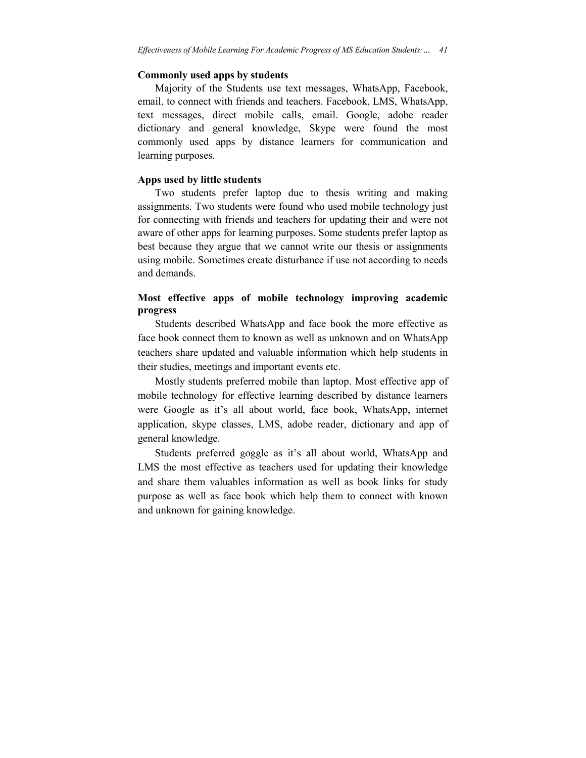#### **Commonly used apps by students**

 Majority of the Students use text messages, WhatsApp, Facebook, email, to connect with friends and teachers. Facebook, LMS, WhatsApp, text messages, direct mobile calls, email. Google, adobe reader dictionary and general knowledge, Skype were found the most commonly used apps by distance learners for communication and learning purposes.

## **Apps used by little students**

 Two students prefer laptop due to thesis writing and making assignments. Two students were found who used mobile technology just for connecting with friends and teachers for updating their and were not aware of other apps for learning purposes. Some students prefer laptop as best because they argue that we cannot write our thesis or assignments using mobile. Sometimes create disturbance if use not according to needs and demands.

## **Most effective apps of mobile technology improving academic progress**

 Students described WhatsApp and face book the more effective as face book connect them to known as well as unknown and on WhatsApp teachers share updated and valuable information which help students in their studies, meetings and important events etc.

 Mostly students preferred mobile than laptop. Most effective app of mobile technology for effective learning described by distance learners were Google as it's all about world, face book, WhatsApp, internet application, skype classes, LMS, adobe reader, dictionary and app of general knowledge.

 Students preferred goggle as it's all about world, WhatsApp and LMS the most effective as teachers used for updating their knowledge and share them valuables information as well as book links for study purpose as well as face book which help them to connect with known and unknown for gaining knowledge.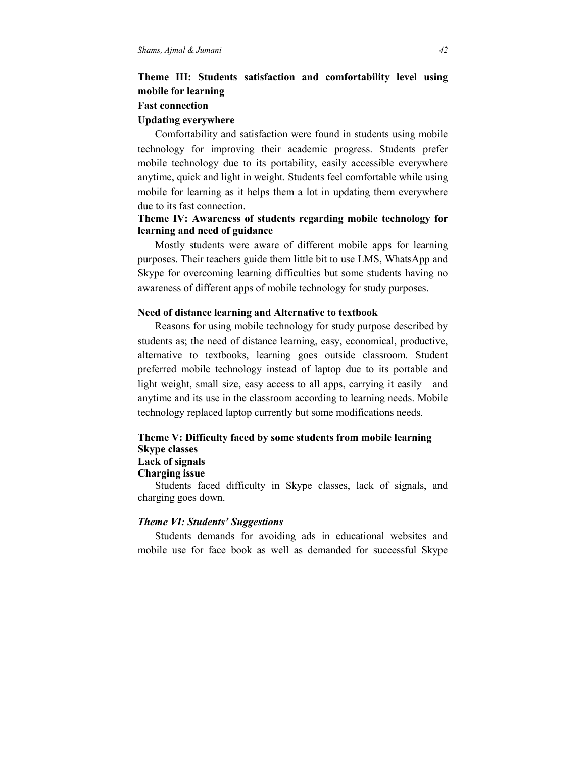# **Theme III: Students satisfaction and comfortability level using mobile for learning**

## **Fast connection**

## **Updating everywhere**

 Comfortability and satisfaction were found in students using mobile technology for improving their academic progress. Students prefer mobile technology due to its portability, easily accessible everywhere anytime, quick and light in weight. Students feel comfortable while using mobile for learning as it helps them a lot in updating them everywhere due to its fast connection.

## **Theme IV: Awareness of students regarding mobile technology for learning and need of guidance**

 Mostly students were aware of different mobile apps for learning purposes. Their teachers guide them little bit to use LMS, WhatsApp and Skype for overcoming learning difficulties but some students having no awareness of different apps of mobile technology for study purposes.

## **Need of distance learning and Alternative to textbook**

 Reasons for using mobile technology for study purpose described by students as; the need of distance learning, easy, economical, productive, alternative to textbooks, learning goes outside classroom. Student preferred mobile technology instead of laptop due to its portable and light weight, small size, easy access to all apps, carrying it easily and anytime and its use in the classroom according to learning needs. Mobile technology replaced laptop currently but some modifications needs.

## **Theme V: Difficulty faced by some students from mobile learning Skype classes Lack of signals**

## **Charging issue**

 Students faced difficulty in Skype classes, lack of signals, and charging goes down.

#### *Theme VI: Students' Suggestions*

 Students demands for avoiding ads in educational websites and mobile use for face book as well as demanded for successful Skype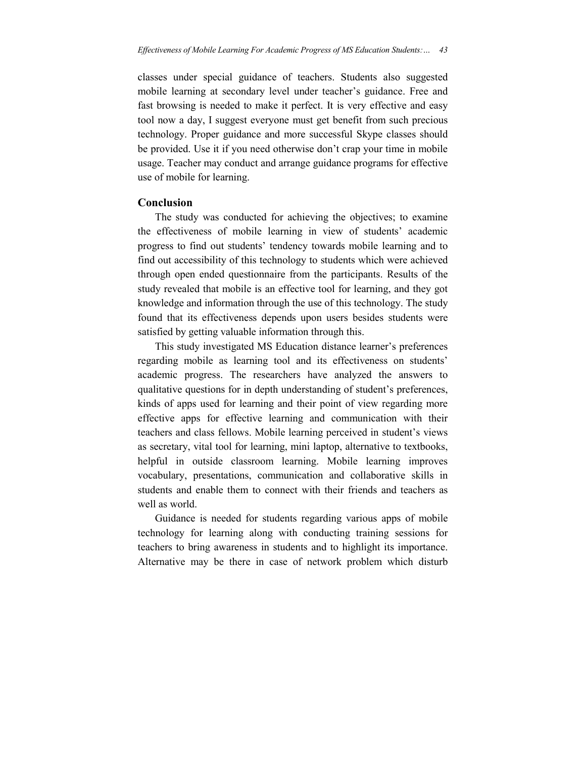classes under special guidance of teachers. Students also suggested mobile learning at secondary level under teacher's guidance. Free and fast browsing is needed to make it perfect. It is very effective and easy tool now a day, I suggest everyone must get benefit from such precious technology. Proper guidance and more successful Skype classes should be provided. Use it if you need otherwise don't crap your time in mobile usage. Teacher may conduct and arrange guidance programs for effective use of mobile for learning.

## **Conclusion**

 The study was conducted for achieving the objectives; to examine the effectiveness of mobile learning in view of students' academic progress to find out students' tendency towards mobile learning and to find out accessibility of this technology to students which were achieved through open ended questionnaire from the participants. Results of the study revealed that mobile is an effective tool for learning, and they got knowledge and information through the use of this technology. The study found that its effectiveness depends upon users besides students were satisfied by getting valuable information through this.

This study investigated MS Education distance learner's preferences regarding mobile as learning tool and its effectiveness on students' academic progress. The researchers have analyzed the answers to qualitative questions for in depth understanding of student's preferences, kinds of apps used for learning and their point of view regarding more effective apps for effective learning and communication with their teachers and class fellows. Mobile learning perceived in student's views as secretary, vital tool for learning, mini laptop, alternative to textbooks, helpful in outside classroom learning. Mobile learning improves vocabulary, presentations, communication and collaborative skills in students and enable them to connect with their friends and teachers as well as world.

 Guidance is needed for students regarding various apps of mobile technology for learning along with conducting training sessions for teachers to bring awareness in students and to highlight its importance. Alternative may be there in case of network problem which disturb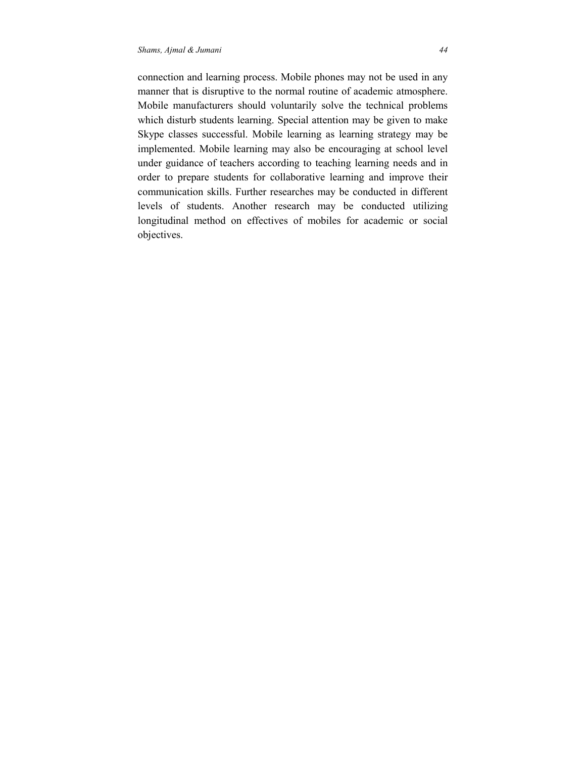connection and learning process. Mobile phones may not be used in any manner that is disruptive to the normal routine of academic atmosphere. Mobile manufacturers should voluntarily solve the technical problems which disturb students learning. Special attention may be given to make Skype classes successful. Mobile learning as learning strategy may be implemented. Mobile learning may also be encouraging at school level under guidance of teachers according to teaching learning needs and in order to prepare students for collaborative learning and improve their communication skills. Further researches may be conducted in different levels of students. Another research may be conducted utilizing longitudinal method on effectives of mobiles for academic or social objectives.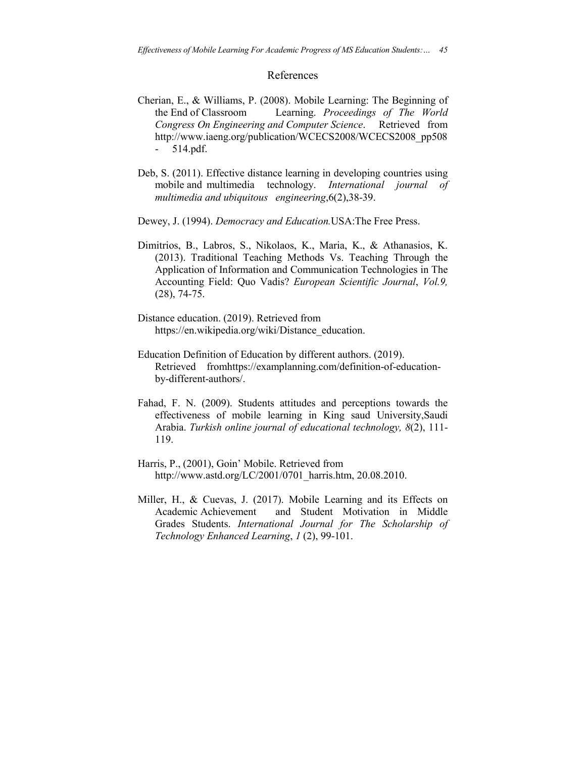### References

- Cherian, E., & Williams, P. (2008). Mobile Learning: The Beginning of the End of Classroom Learning. *Proceedings of The World Congress On Engineering and Computer Science*. Retrieved from http://www.iaeng.org/publication/WCECS2008/WCECS2008\_pp508 - 514.pdf.
- Deb, S. (2011). Effective distance learning in developing countries using mobile and multimedia technology. *International journal of multimedia and ubiquitous engineering*,6(2),38-39.
- Dewey, J. (1994). *Democracy and Education.*USA:The Free Press.
- Dimitrios, B., Labros, S., Nikolaos, K., Maria, K., & Athanasios, K. (2013). Traditional Teaching Methods Vs. Teaching Through the Application of Information and Communication Technologies in The Accounting Field: Quo Vadis? *European Scientific Journal*, *Vol.9,* (28), 74-75.
- Distance education. (2019). Retrieved from https://en.wikipedia.org/wiki/Distance\_education.
- Education Definition of Education by different authors. (2019). Retrieved fromhttps://examplanning.com/definition-of-educationby-different-authors/.
- Fahad, F. N. (2009). Students attitudes and perceptions towards the effectiveness of mobile learning in King saud University,Saudi Arabia. *Turkish online journal of educational technology, 8*(2), 111- 119.
- Harris, P., (2001), Goin' Mobile. Retrieved from http://www.astd.org/LC/2001/0701\_harris.htm, 20.08.2010.
- Miller, H., & Cuevas, J. (2017). Mobile Learning and its Effects on Academic Achievement and Student Motivation in Middle Grades Students. *International Journal for The Scholarship of Technology Enhanced Learning*, *1* (2), 99-101.